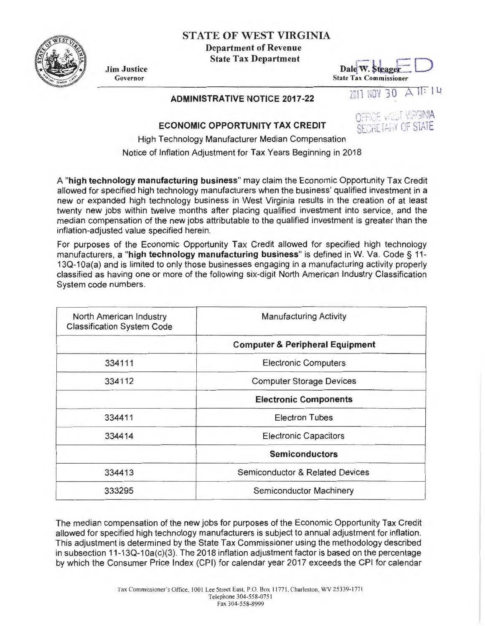## STATE OF WEST VIRGINIA

Department of Revenue State Tax Department



Jim Justice Governor

## Dale W. Steager Dale W. Steager  $\epsilon$

ADMINISTRATIVE NOTICE 2017-22 2017 NOV 30 A 11: IL



## ECONOMIC OPPORTUNITY TAX CREDIT

High Technology Manufacturer Median Compensation Notice of Inflation Adjustment for Tax Years Beginning in 2018

A "high technology manufacturing business" may claim the Economic Opportunity Tax Credit allowed for specified high technology manufacturers when the business' qualified investment in a new or expanded high technology business in West Virginia results in the creation of at least twenty new jobs within twelve months after placing qualified investment into service, and the median compensation of the new jobs attributable to the qualified investment is greater than the inflation-adjusted value specified herein.

For purposes of the Economic Opportunity Tax Credit allowed for specified high technology manufacturers, a "high technology manufacturing business" is defined in W. Va. Code § 11-130-1 Oa(a) and is limited to only those businesses engaging in a manufacturing activity properly classified as having one or more of the following six-digit North American Industry Classification System code numbers.

| North American Industry<br><b>Classification System Code</b> | <b>Manufacturing Activity</b>              |
|--------------------------------------------------------------|--------------------------------------------|
|                                                              | <b>Computer &amp; Peripheral Equipment</b> |
| 334111                                                       | <b>Electronic Computers</b>                |
| 334112                                                       | <b>Computer Storage Devices</b>            |
|                                                              | <b>Electronic Components</b>               |
| 334411                                                       | <b>Electron Tubes</b>                      |
| 334414                                                       | <b>Electronic Capacitors</b>               |
|                                                              | <b>Semiconductors</b>                      |
| 334413                                                       | Semiconductor & Related Devices            |
| 333295                                                       | Semiconductor Machinery                    |

The median compensation of the new jobs for purposes of the Economic Opportunity Tax Credit allowed for specified high technology manufacturers is subject to annual adjustment for inflation. This adjustment is determined by the State Tax Commissioner using the methodology described in subsection 11-13Q-10a(c)(3). The 2018 inflation adjustment factor is based on the percentage by which the Consumer Price Index (CPI) for calendar year 2017 exceeds the CPI for calendar